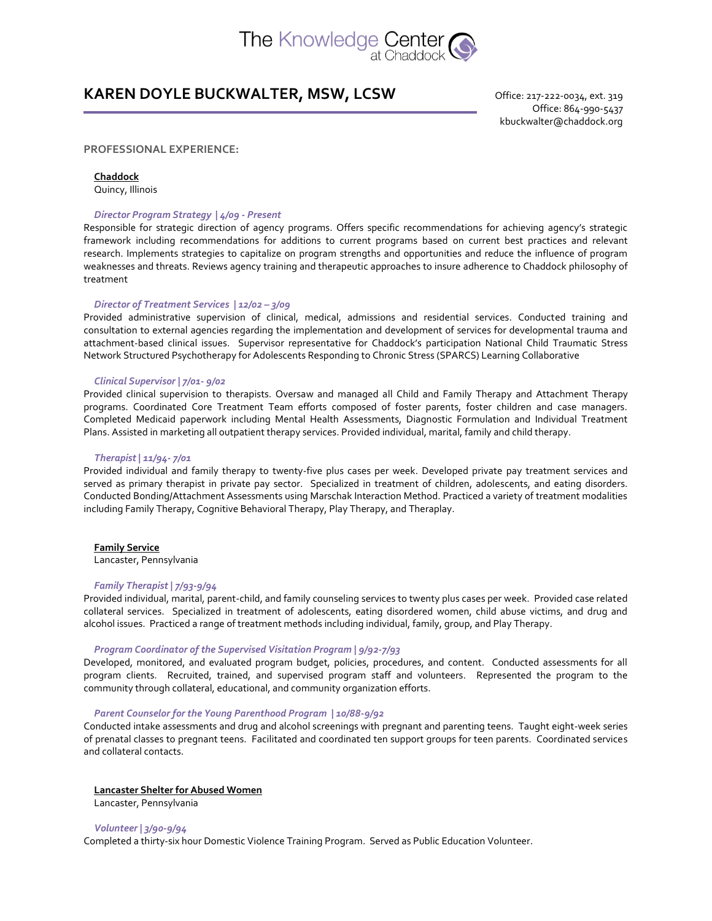

# **KAREN DOYLE BUCKWALTER, MSW, LCSW**

Office: 217-222-0034, ext. 319 Office: 864-990-5437 kbuckwalter@chaddock.org

# **PROFESSIONAL EXPERIENCE:**

## **Chaddock**

Quincy, Illinois

# *Director Program Strategy | 4/09 - Present*

Responsible for strategic direction of agency programs. Offers specific recommendations for achieving agency's strategic framework including recommendations for additions to current programs based on current best practices and relevant research. Implements strategies to capitalize on program strengths and opportunities and reduce the influence of program weaknesses and threats. Reviews agency training and therapeutic approaches to insure adherence to Chaddock philosophy of treatment

#### *Director of Treatment Services | 12/02 – 3/09*

Provided administrative supervision of clinical, medical, admissions and residential services. Conducted training and consultation to external agencies regarding the implementation and development of services for developmental trauma and attachment-based clinical issues. Supervisor representative for Chaddock's participation National Child Traumatic Stress Network Structured Psychotherapy for Adolescents Responding to Chronic Stress (SPARCS) Learning Collaborative

## *Clinical Supervisor | 7/01- 9/02*

Provided clinical supervision to therapists. Oversaw and managed all Child and Family Therapy and Attachment Therapy programs. Coordinated Core Treatment Team efforts composed of foster parents, foster children and case managers. Completed Medicaid paperwork including Mental Health Assessments, Diagnostic Formulation and Individual Treatment Plans. Assisted in marketing all outpatient therapy services. Provided individual, marital, family and child therapy.

#### *Therapist | 11/94- 7/01*

Provided individual and family therapy to twenty-five plus cases per week. Developed private pay treatment services and served as primary therapist in private pay sector. Specialized in treatment of children, adolescents, and eating disorders. Conducted Bonding/Attachment Assessments using Marschak Interaction Method. Practiced a variety of treatment modalities including Family Therapy, Cognitive Behavioral Therapy, Play Therapy, and Theraplay.

#### **Family Service**

Lancaster, Pennsylvania

#### *Family Therapist | 7/93-9/94*

Provided individual, marital, parent-child, and family counseling services to twenty plus cases per week. Provided case related collateral services. Specialized in treatment of adolescents, eating disordered women, child abuse victims, and drug and alcohol issues. Practiced a range of treatment methods including individual, family, group, and Play Therapy.

### *Program Coordinator of the Supervised Visitation Program | 9/92-7/93*

Developed, monitored, and evaluated program budget, policies, procedures, and content. Conducted assessments for all program clients. Recruited, trained, and supervised program staff and volunteers. Represented the program to the community through collateral, educational, and community organization efforts.

## *Parent Counselor for the Young Parenthood Program | 10/88-9/92*

Conducted intake assessments and drug and alcohol screenings with pregnant and parenting teens. Taught eight-week series of prenatal classes to pregnant teens. Facilitated and coordinated ten support groups for teen parents. Coordinated services and collateral contacts.

#### **Lancaster Shelter for Abused Women**

Lancaster, Pennsylvania

#### *Volunteer | 3/90-9/94*

Completed a thirty-six hour Domestic Violence Training Program. Served as Public Education Volunteer.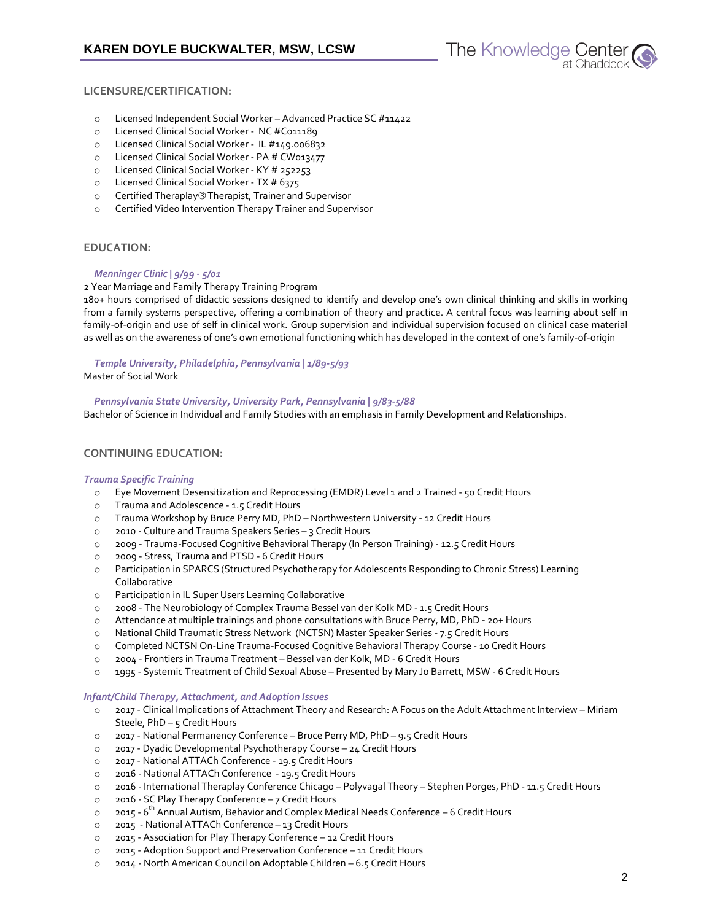

# **LICENSURE/CERTIFICATION:**

- o Licensed Independent Social Worker Advanced Practice SC #11422
- o Licensed Clinical Social Worker NC #C011189
- o Licensed Clinical Social Worker IL #149.006832
- o Licensed Clinical Social Worker PA # CW013477
- o Licensed Clinical Social Worker KY # 252253
- o Licensed Clinical Social Worker TX # 6375
- o Certified Theraplay® Therapist, Trainer and Supervisor
- o Certified Video Intervention Therapy Trainer and Supervisor

## **EDUCATION:**

## *Menninger Clinic | 9/99 - 5/01*

2 Year Marriage and Family Therapy Training Program

180+ hours comprised of didactic sessions designed to identify and develop one's own clinical thinking and skills in working from a family systems perspective, offering a combination of theory and practice. A central focus was learning about self in family-of-origin and use of self in clinical work. Group supervision and individual supervision focused on clinical case material as well as on the awareness of one's own emotional functioning which has developed in the context of one's family-of-origin

*Temple University, Philadelphia, Pennsylvania | 1/89-5/93* Master of Social Work

*Pennsylvania State University, University Park, Pennsylvania | 9/83-5/88* Bachelor of Science in Individual and Family Studies with an emphasis in Family Development and Relationships.

# **CONTINUING EDUCATION:**

## *Trauma Specific Training*

- o Eye Movement Desensitization and Reprocessing (EMDR) Level 1 and 2 Trained 50 Credit Hours
- o Trauma and Adolescence 1.5 Credit Hours
- o Trauma Workshop by Bruce Perry MD, PhD Northwestern University 12 Credit Hours
- o 2010 Culture and Trauma Speakers Series 3 Credit Hours
- o 2009 Trauma-Focused Cognitive Behavioral Therapy (In Person Training) 12.5 Credit Hours
- o 2009 Stress, Trauma and PTSD 6 Credit Hours
- o Participation in SPARCS (Structured Psychotherapy for Adolescents Responding to Chronic Stress) Learning Collaborative
- o Participation in IL Super Users Learning Collaborative
- o 2008 The Neurobiology of Complex Trauma Bessel van der Kolk MD 1.5 Credit Hours
- o Attendance at multiple trainings and phone consultations with Bruce Perry, MD, PhD 20+ Hours
- o National Child Traumatic Stress Network (NCTSN) Master Speaker Series 7.5 Credit Hours
- o Completed NCTSN On-Line Trauma-Focused Cognitive Behavioral Therapy Course 10 Credit Hours
- o 2004 Frontiers in Trauma Treatment Bessel van der Kolk, MD 6 Credit Hours
- o 1995 Systemic Treatment of Child Sexual Abuse Presented by Mary Jo Barrett, MSW 6 Credit Hours

## *Infant/Child Therapy, Attachment, and Adoption Issues*

- o 2017 Clinical Implications of Attachment Theory and Research: A Focus on the Adult Attachment Interview Miriam Steele, PhD – 5 Credit Hours
- o 2017 National Permanency Conference Bruce Perry MD, PhD 9.5 Credit Hours
- o 2017 Dyadic Developmental Psychotherapy Course 24 Credit Hours
- o 2017 National ATTACh Conference 19.5 Credit Hours
- o 2016 National ATTACh Conference 19.5 Credit Hours
- o 2016 International Theraplay Conference Chicago Polyvagal Theory Stephen Porges, PhD 11.5 Credit Hours
- o 2016 SC Play Therapy Conference 7 Credit Hours
- o 2015 6<sup>th</sup> Annual Autism, Behavior and Complex Medical Needs Conference 6 Credit Hours
- o 2015 National ATTACh Conference 13 Credit Hours
- o 2015 Association for Play Therapy Conference 12 Credit Hours
- o 2015 Adoption Support and Preservation Conference 11 Credit Hours
- o 2014 North American Council on Adoptable Children 6.5 Credit Hours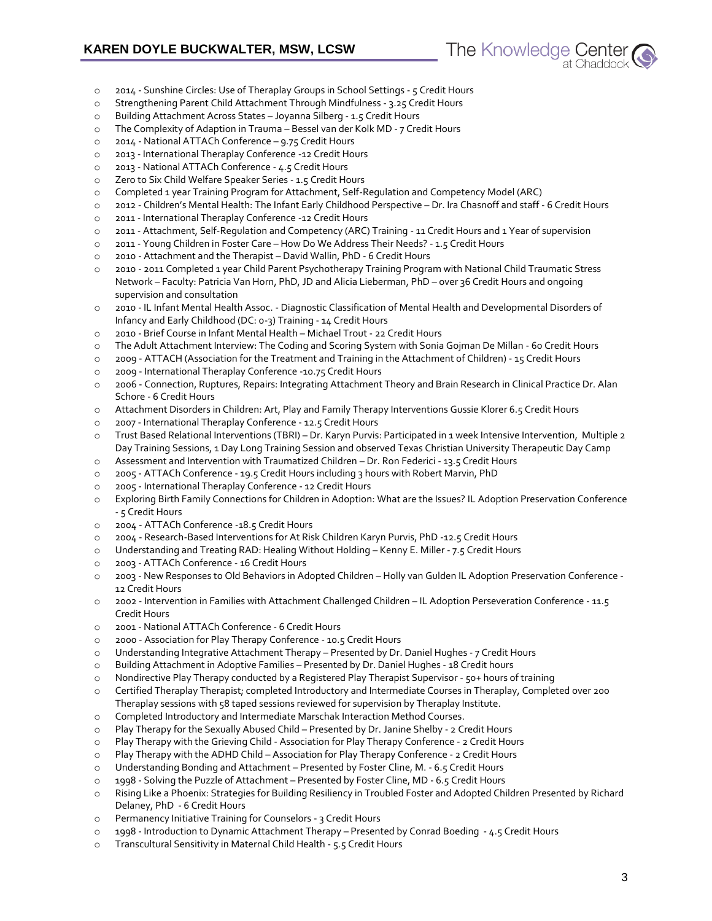- The Knowledge Center
- o 2014 Sunshine Circles: Use of Theraplay Groups in School Settings 5 Credit Hours
- o Strengthening Parent Child Attachment Through Mindfulness 3.25 Credit Hours
- o Building Attachment Across States Joyanna Silberg 1.5 Credit Hours
- o The Complexity of Adaption in Trauma Bessel van der Kolk MD 7 Credit Hours
- o 2014 National ATTACh Conference 9.75 Credit Hours
- o 2013 International Theraplay Conference -12 Credit Hours
- o 2013 National ATTACh Conference 4.5 Credit Hours
- o Zero to Six Child Welfare Speaker Series 1.5 Credit Hours
- o Completed 1 year Training Program for Attachment, Self-Regulation and Competency Model (ARC)
- o 2012 Children's Mental Health: The Infant Early Childhood Perspective Dr. Ira Chasnoff and staff 6 Credit Hours
- o 2011 International Theraplay Conference -12 Credit Hours
- o 2011 Attachment, Self-Regulation and Competency (ARC) Training 11 Credit Hours and 1 Year of supervision
- o 2011 Young Children in Foster Care How Do We Address Their Needs? 1.5 Credit Hours
- o 2010 Attachment and the Therapist David Wallin, PhD 6 Credit Hours
- o 2010 2011 Completed 1 year Child Parent Psychotherapy Training Program with National Child Traumatic Stress Network – Faculty: Patricia Van Horn, PhD, JD and Alicia Lieberman, PhD – over 36 Credit Hours and ongoing supervision and consultation
- o 2010 IL Infant Mental Health Assoc. Diagnostic Classification of Mental Health and Developmental Disorders of Infancy and Early Childhood (DC: 0-3) Training - 14 Credit Hours
- o 2010 Brief Course in Infant Mental Health Michael Trout 22 Credit Hours
- o The Adult Attachment Interview: The Coding and Scoring System with Sonia Gojman De Millan 60 Credit Hours
- o 2009 ATTACH (Association for the Treatment and Training in the Attachment of Children) 15 Credit Hours
- o 2009 International Theraplay Conference -10.75 Credit Hours
- o 2006 Connection, Ruptures, Repairs: Integrating Attachment Theory and Brain Research in Clinical Practice Dr. Alan Schore - 6 Credit Hours
- o Attachment Disorders in Children: Art, Play and Family Therapy Interventions Gussie Klorer 6.5 Credit Hours
- o 2007 International Theraplay Conference 12.5 Credit Hours
- o Trust Based Relational Interventions (TBRI) Dr. Karyn Purvis: Participated in 1 week Intensive Intervention, Multiple 2 Day Training Sessions, 1 Day Long Training Session and observed Texas Christian University Therapeutic Day Camp
- o Assessment and Intervention with Traumatized Children Dr. Ron Federici 13.5 Credit Hours
- o 2005 ATTACh Conference 19.5 Credit Hours including 3 hours with Robert Marvin, PhD
- o 2005 International Theraplay Conference 12 Credit Hours
- o Exploring Birth Family Connections for Children in Adoption: What are the Issues? IL Adoption Preservation Conference - 5 Credit Hours
- o 2004 ATTACh Conference -18.5 Credit Hours
- o 2004 Research-Based Interventions for At Risk Children Karyn Purvis, PhD -12.5 Credit Hours
- o Understanding and Treating RAD: Healing Without Holding Kenny E. Miller 7.5 Credit Hours
- o 2003 ATTACh Conference 16 Credit Hours
- o 2003 New Responses to Old Behaviors in Adopted Children Holly van Gulden IL Adoption Preservation Conference 12 Credit Hours
- o 2002 Intervention in Families with Attachment Challenged Children IL Adoption Perseveration Conference 11.5 Credit Hours
- o 2001 National ATTACh Conference 6 Credit Hours
- o 2000 Association for Play Therapy Conference 10.5 Credit Hours
- o Understanding Integrative Attachment Therapy Presented by Dr. Daniel Hughes 7 Credit Hours
- o Building Attachment in Adoptive Families Presented by Dr. Daniel Hughes 18 Credit hours
- o Nondirective Play Therapy conducted by a Registered Play Therapist Supervisor 50+ hours of training
- o Certified Theraplay Therapist; completed Introductory and Intermediate Courses in Theraplay, Completed over 200 Theraplay sessions with 58 taped sessions reviewed for supervision by Theraplay Institute.
- o Completed Introductory and Intermediate Marschak Interaction Method Courses.
- o Play Therapy for the Sexually Abused Child Presented by Dr. Janine Shelby 2 Credit Hours
- o Play Therapy with the Grieving Child Association for Play Therapy Conference 2 Credit Hours
- o Play Therapy with the ADHD Child Association for Play Therapy Conference 2 Credit Hours
- o Understanding Bonding and Attachment Presented by Foster Cline, M. 6.5 Credit Hours
- o 1998 Solving the Puzzle of Attachment Presented by Foster Cline, MD 6.5 Credit Hours
- o Rising Like a Phoenix: Strategies for Building Resiliency in Troubled Foster and Adopted Children Presented by Richard Delaney, PhD - 6 Credit Hours
- o Permanency Initiative Training for Counselors 3 Credit Hours
- o 1998 Introduction to Dynamic Attachment Therapy Presented by Conrad Boeding 4.5 Credit Hours
- o Transcultural Sensitivity in Maternal Child Health 5.5 Credit Hours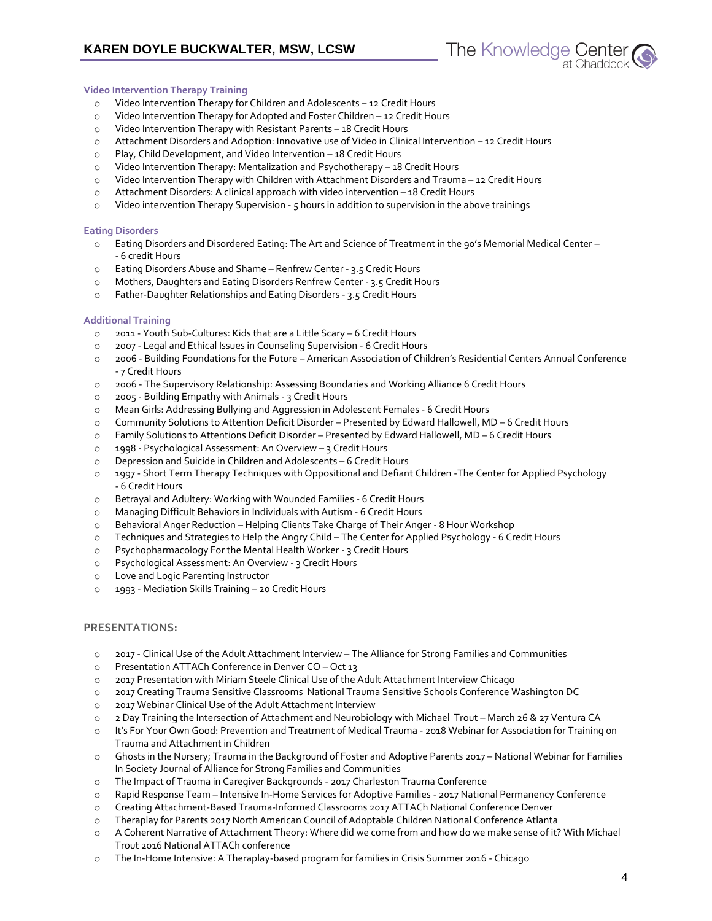## **Video Intervention Therapy Training**

- o Video Intervention Therapy for Children and Adolescents 12 Credit Hours
- o Video Intervention Therapy for Adopted and Foster Children 12 Credit Hours
- o Video Intervention Therapy with Resistant Parents 18 Credit Hours
- o Attachment Disorders and Adoption: Innovative use of Video in Clinical Intervention 12 Credit Hours
- o Play, Child Development, and Video Intervention 18 Credit Hours
- o Video Intervention Therapy: Mentalization and Psychotherapy 18 Credit Hours
- o Video Intervention Therapy with Children with Attachment Disorders and Trauma 12 Credit Hours
- o Attachment Disorders: A clinical approach with video intervention 18 Credit Hours
- o Video intervention Therapy Supervision 5 hours in addition to supervision in the above trainings

## **Eating Disorders**

- o Eating Disorders and Disordered Eating: The Art and Science of Treatment in the 90's Memorial Medical Center - 6 credit Hours
- o Eating Disorders Abuse and Shame Renfrew Center 3.5 Credit Hours
- o Mothers, Daughters and Eating Disorders Renfrew Center 3.5 Credit Hours
- o Father-Daughter Relationships and Eating Disorders 3.5 Credit Hours

# **Additional Training**

- o 2011 Youth Sub-Cultures: Kids that are a Little Scary 6 Credit Hours
- o 2007 Legal and Ethical Issues in Counseling Supervision 6 Credit Hours
- o 2006 Building Foundations for the Future American Association of Children's Residential Centers Annual Conference - 7 Credit Hours
- o 2006 The Supervisory Relationship: Assessing Boundaries and Working Alliance 6 Credit Hours
- o 2005 Building Empathy with Animals 3 Credit Hours
- o Mean Girls: Addressing Bullying and Aggression in Adolescent Females 6 Credit Hours
- o Community Solutions to Attention Deficit Disorder Presented by Edward Hallowell, MD 6 Credit Hours
- o Family Solutions to Attentions Deficit Disorder Presented by Edward Hallowell, MD 6 Credit Hours
- o 1998 Psychological Assessment: An Overview 3 Credit Hours
- o Depression and Suicide in Children and Adolescents 6 Credit Hours
- o 1997 Short Term Therapy Techniques with Oppositional and Defiant Children -The Center for Applied Psychology - 6 Credit Hours
- o Betrayal and Adultery: Working with Wounded Families 6 Credit Hours
- o Managing Difficult Behaviors in Individuals with Autism 6 Credit Hours
- o Behavioral Anger Reduction Helping Clients Take Charge of Their Anger 8 Hour Workshop
- o Techniques and Strategies to Help the Angry Child The Center for Applied Psychology 6 Credit Hours
- o Psychopharmacology For the Mental Health Worker 3 Credit Hours
- o Psychological Assessment: An Overview 3 Credit Hours
- o Love and Logic Parenting Instructor
- o 1993 Mediation Skills Training 20 Credit Hours

# **PRESENTATIONS:**

- o 2017 Clinical Use of the Adult Attachment Interview The Alliance for Strong Families and Communities
- o Presentation ATTACh Conference in Denver CO Oct 13
- o 2017 Presentation with Miriam Steele Clinical Use of the Adult Attachment Interview Chicago
- o 2017 Creating Trauma Sensitive Classrooms National Trauma Sensitive Schools Conference Washington DC
- o 2017 Webinar Clinical Use of the Adult Attachment Interview
- o 2 Day Training the Intersection of Attachment and Neurobiology with Michael Trout March 26 & 27 Ventura CA
- o It's For Your Own Good: Prevention and Treatment of Medical Trauma 2018 Webinar for Association for Training on Trauma and Attachment in Children
- o Ghosts in the Nursery; Trauma in the Background of Foster and Adoptive Parents 2017 National Webinar for Families In Society Journal of Alliance for Strong Families and Communities
- o The Impact of Trauma in Caregiver Backgrounds 2017 Charleston Trauma Conference
- o Rapid Response Team Intensive In-Home Services for Adoptive Families 2017 National Permanency Conference
- o Creating Attachment-Based Trauma-Informed Classrooms 2017 ATTACh National Conference Denver
- o Theraplay for Parents 2017 North American Council of Adoptable Children National Conference Atlanta
- o A Coherent Narrative of Attachment Theory: Where did we come from and how do we make sense of it? With Michael Trout 2016 National ATTACh conference
- o The In-Home Intensive: A Theraplay-based program for families in Crisis Summer 2016 Chicago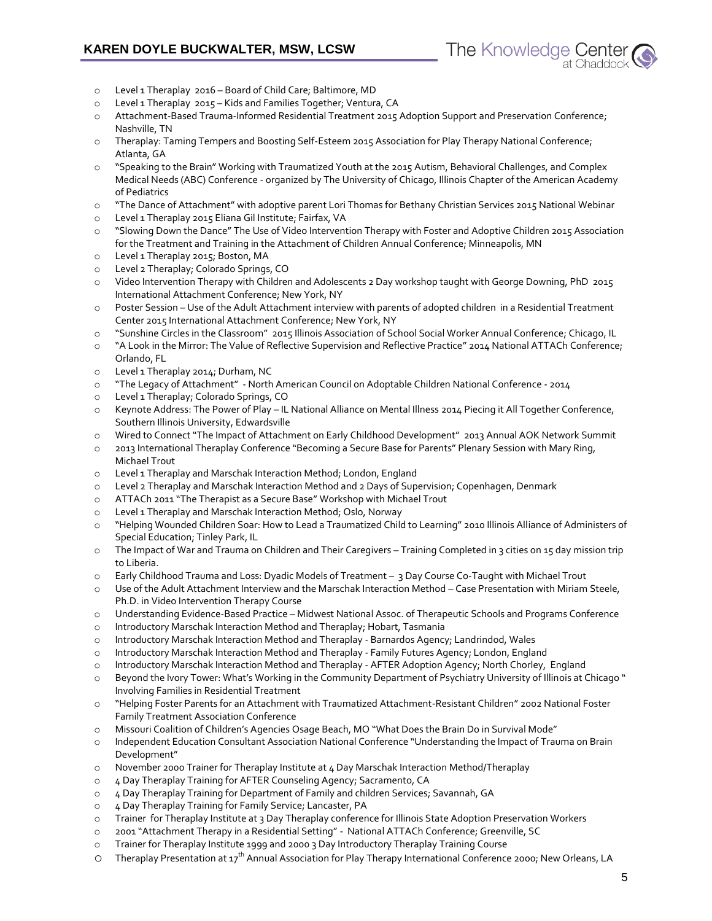

- o Level 1 Theraplay 2016 Board of Child Care; Baltimore, MD
- o Level 1 Theraplay 2015 Kids and Families Together; Ventura, CA
- Attachment-Based Trauma-Informed Residential Treatment 2015 Adoption Support and Preservation Conference; Nashville, TN
- o Theraplay: Taming Tempers and Boosting Self-Esteem 2015 Association for Play Therapy National Conference; Atlanta, GA
- o "Speaking to the Brain" Working with Traumatized Youth at the 2015 Autism, Behavioral Challenges, and Complex Medical Needs (ABC) Conference - organized by The University of Chicago, Illinois Chapter of the American Academy of Pediatrics
- o "The Dance of Attachment" with adoptive parent Lori Thomas for Bethany Christian Services 2015 National Webinar
- o Level 1 Theraplay 2015 Eliana Gil Institute; Fairfax, VA
- o "Slowing Down the Dance" The Use of Video Intervention Therapy with Foster and Adoptive Children 2015 Association for the Treatment and Training in the Attachment of Children Annual Conference; Minneapolis, MN
- o Level 1 Theraplay 2015; Boston, MA
- o Level 2 Theraplay; Colorado Springs, CO
- o Video Intervention Therapy with Children and Adolescents 2 Day workshop taught with George Downing, PhD 2015 International Attachment Conference; New York, NY
- o Poster Session Use of the Adult Attachment interview with parents of adopted children in a Residential Treatment Center 2015 International Attachment Conference; New York, NY
- o "Sunshine Circles in the Classroom" 2015 Illinois Association of School Social Worker Annual Conference; Chicago, IL
- o "A Look in the Mirror: The Value of Reflective Supervision and Reflective Practice" 2014 National ATTACh Conference; Orlando, FL
- o Level 1 Theraplay 2014; Durham, NC
- o "The Legacy of Attachment" North American Council on Adoptable Children National Conference 2014
- o Level 1 Theraplay; Colorado Springs, CO
- o Keynote Address: The Power of Play IL National Alliance on Mental Illness 2014 Piecing it All Together Conference, Southern Illinois University, Edwardsville
- o Wired to Connect "The Impact of Attachment on Early Childhood Development" 2013 Annual AOK Network Summit
- o 2013 International Theraplay Conference "Becoming a Secure Base for Parents" Plenary Session with Mary Ring, Michael Trout
- o Level 1 Theraplay and Marschak Interaction Method; London, England
- o Level 2 Theraplay and Marschak Interaction Method and 2 Days of Supervision; Copenhagen, Denmark
- o ATTACh 2011 "The Therapist as a Secure Base" Workshop with Michael Trout
- o Level 1 Theraplay and Marschak Interaction Method; Oslo, Norway
- o "Helping Wounded Children Soar: How to Lead a Traumatized Child to Learning" 2010 Illinois Alliance of Administers of Special Education; Tinley Park, IL
- o The Impact of War and Trauma on Children and Their Caregivers Training Completed in 3 cities on 15 day mission trip to Liberia.
- o Early Childhood Trauma and Loss: Dyadic Models of Treatment 3 Day Course Co-Taught with Michael Trout
- o Use of the Adult Attachment Interview and the Marschak Interaction Method Case Presentation with Miriam Steele, Ph.D. in Video Intervention Therapy Course
- o Understanding Evidence-Based Practice Midwest National Assoc. of Therapeutic Schools and Programs Conference
- o Introductory Marschak Interaction Method and Theraplay; Hobart, Tasmania
- o Introductory Marschak Interaction Method and Theraplay Barnardos Agency; Landrindod, Wales
- o Introductory Marschak Interaction Method and Theraplay Family Futures Agency; London, England
- o Introductory Marschak Interaction Method and Theraplay AFTER Adoption Agency; North Chorley, England
- o Beyond the Ivory Tower: What's Working in the Community Department of Psychiatry University of Illinois at Chicago " Involving Families in Residential Treatment
- o "Helping Foster Parents for an Attachment with Traumatized Attachment-Resistant Children" 2002 National Foster Family Treatment Association Conference
- o Missouri Coalition of Children's Agencies Osage Beach, MO "What Does the Brain Do in Survival Mode"
- o Independent Education Consultant Association National Conference "Understanding the Impact of Trauma on Brain Development"
- o November 2000 Trainer for Theraplay Institute at 4 Day Marschak Interaction Method/Theraplay
- o 4 Day Theraplay Training for AFTER Counseling Agency; Sacramento, CA
- o 4 Day Theraplay Training for Department of Family and children Services; Savannah, GA
- o 4 Day Theraplay Training for Family Service; Lancaster, PA
- o Trainer for Theraplay Institute at 3 Day Theraplay conference for Illinois State Adoption Preservation Workers
- o 2001 "Attachment Therapy in a Residential Setting" National ATTACh Conference; Greenville, SC
- o Trainer for Theraplay Institute 1999 and 2000 3 Day Introductory Theraplay Training Course
- O Theraplay Presentation at 17<sup>th</sup> Annual Association for Play Therapy International Conference 2000; New Orleans, LA